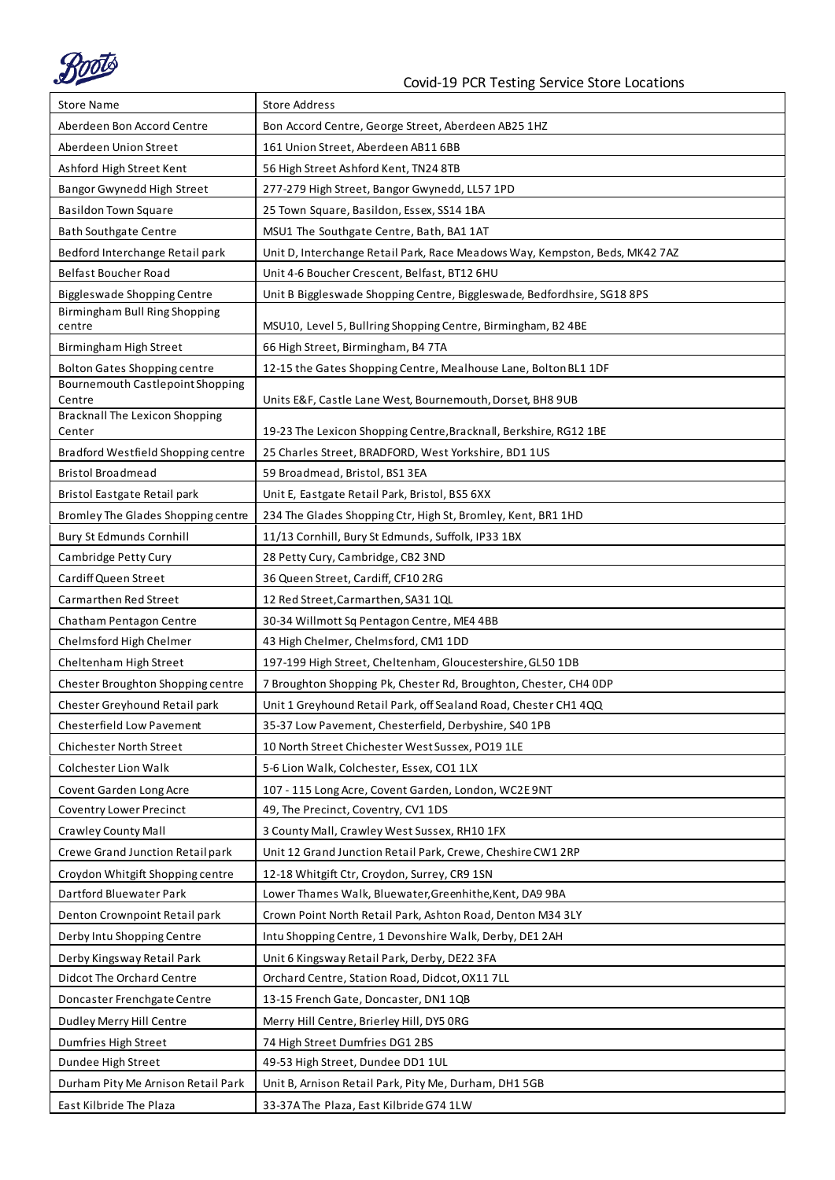

| <b>Store Name</b>                                                       | <b>Store Address</b>                                                        |
|-------------------------------------------------------------------------|-----------------------------------------------------------------------------|
| Aberdeen Bon Accord Centre                                              | Bon Accord Centre, George Street, Aberdeen AB25 1HZ                         |
| Aberdeen Union Street                                                   | 161 Union Street, Aberdeen AB11 6BB                                         |
| Ashford High Street Kent                                                | 56 High Street Ashford Kent, TN24 8TB                                       |
| Bangor Gwynedd High Street                                              | 277-279 High Street, Bangor Gwynedd, LL57 1PD                               |
| Basildon Town Square                                                    | 25 Town Square, Basildon, Essex, SS14 1BA                                   |
| <b>Bath Southgate Centre</b>                                            | MSU1 The Southgate Centre, Bath, BA1 1AT                                    |
| Bedford Interchange Retail park                                         | Unit D, Interchange Retail Park, Race Meadows Way, Kempston, Beds, MK42 7AZ |
| <b>Belfast Boucher Road</b>                                             | Unit 4-6 Boucher Crescent, Belfast, BT12 6HU                                |
| Biggleswade Shopping Centre                                             | Unit B Biggleswade Shopping Centre, Biggleswade, Bedfordhsire, SG18 8PS     |
| Birmingham Bull Ring Shopping                                           |                                                                             |
| centre                                                                  | MSU10, Level 5, Bullring Shopping Centre, Birmingham, B2 4BE                |
| Birmingham High Street                                                  | 66 High Street, Birmingham, B4 7TA                                          |
| <b>Bolton Gates Shopping centre</b><br>Bournemouth Castlepoint Shopping | 12-15 the Gates Shopping Centre, Mealhouse Lane, Bolton BL1 1DF             |
| Centre                                                                  | Units E&F, Castle Lane West, Bournemouth, Dorset, BH8 9UB                   |
| <b>Bracknall The Lexicon Shopping</b><br>Center                         | 19-23 The Lexicon Shopping Centre, Bracknall, Berkshire, RG12 1BE           |
| Bradford Westfield Shopping centre                                      | 25 Charles Street, BRADFORD, West Yorkshire, BD1 1US                        |
| <b>Bristol Broadmead</b>                                                | 59 Broadmead, Bristol, BS1 3EA                                              |
| Bristol Eastgate Retail park                                            | Unit E, Eastgate Retail Park, Bristol, BS5 6XX                              |
| Bromley The Glades Shopping centre                                      | 234 The Glades Shopping Ctr, High St, Bromley, Kent, BR1 1HD                |
| Bury St Edmunds Cornhill                                                | 11/13 Cornhill, Bury St Edmunds, Suffolk, IP33 1BX                          |
| Cambridge Petty Cury                                                    | 28 Petty Cury, Cambridge, CB2 3ND                                           |
| Cardiff Queen Street                                                    | 36 Queen Street, Cardiff, CF10 2RG                                          |
| Carmarthen Red Street                                                   | 12 Red Street, Carmarthen, SA31 1QL                                         |
| Chatham Pentagon Centre                                                 | 30-34 Willmott Sq Pentagon Centre, ME4 4BB                                  |
| Chelmsford High Chelmer                                                 | 43 High Chelmer, Chelmsford, CM1 1DD                                        |
| Cheltenham High Street                                                  | 197-199 High Street, Cheltenham, Gloucestershire, GL50 1DB                  |
| Chester Broughton Shopping centre                                       | 7 Broughton Shopping Pk, Chester Rd, Broughton, Chester, CH4 ODP            |
| Chester Greyhound Retail park                                           | Unit 1 Greyhound Retail Park, off Sealand Road, Chester CH1 4QQ             |
| Chesterfield Low Pavement                                               | 35-37 Low Pavement, Chesterfield, Derbyshire, S40 1PB                       |
| <b>Chichester North Street</b>                                          | 10 North Street Chichester West Sussex, PO19 1LE                            |
| Colchester Lion Walk                                                    | 5-6 Lion Walk, Colchester, Essex, CO1 1LX                                   |
| Covent Garden Long Acre                                                 | 107 - 115 Long Acre, Covent Garden, London, WC2E 9NT                        |
| Coventry Lower Precinct                                                 | 49, The Precinct, Coventry, CV1 1DS                                         |
| <b>Crawley County Mall</b>                                              | 3 County Mall, Crawley West Sussex, RH10 1FX                                |
| Crewe Grand Junction Retail park                                        | Unit 12 Grand Junction Retail Park, Crewe, Cheshire CW1 2RP                 |
| Croydon Whitgift Shopping centre                                        | 12-18 Whitgift Ctr, Croydon, Surrey, CR9 1SN                                |
| Dartford Bluewater Park                                                 | Lower Thames Walk, Bluewater, Greenhithe, Kent, DA9 9BA                     |
| Denton Crownpoint Retail park                                           | Crown Point North Retail Park, Ashton Road, Denton M34 3LY                  |
| Derby Intu Shopping Centre                                              | Intu Shopping Centre, 1 Devonshire Walk, Derby, DE1 2AH                     |
| Derby Kingsway Retail Park                                              | Unit 6 Kingsway Retail Park, Derby, DE22 3FA                                |
| Didcot The Orchard Centre                                               | Orchard Centre, Station Road, Didcot, OX11 7LL                              |
| Doncaster Frenchgate Centre                                             | 13-15 French Gate, Doncaster, DN1 1QB                                       |
| Dudley Merry Hill Centre                                                | Merry Hill Centre, Brierley Hill, DY5 ORG                                   |
| Dumfries High Street                                                    | 74 High Street Dumfries DG1 2BS                                             |
| Dundee High Street                                                      | 49-53 High Street, Dundee DD1 1UL                                           |
| Durham Pity Me Arnison Retail Park                                      | Unit B, Arnison Retail Park, Pity Me, Durham, DH1 5GB                       |
| East Kilbride The Plaza                                                 | 33-37A The Plaza, East Kilbride G74 1LW                                     |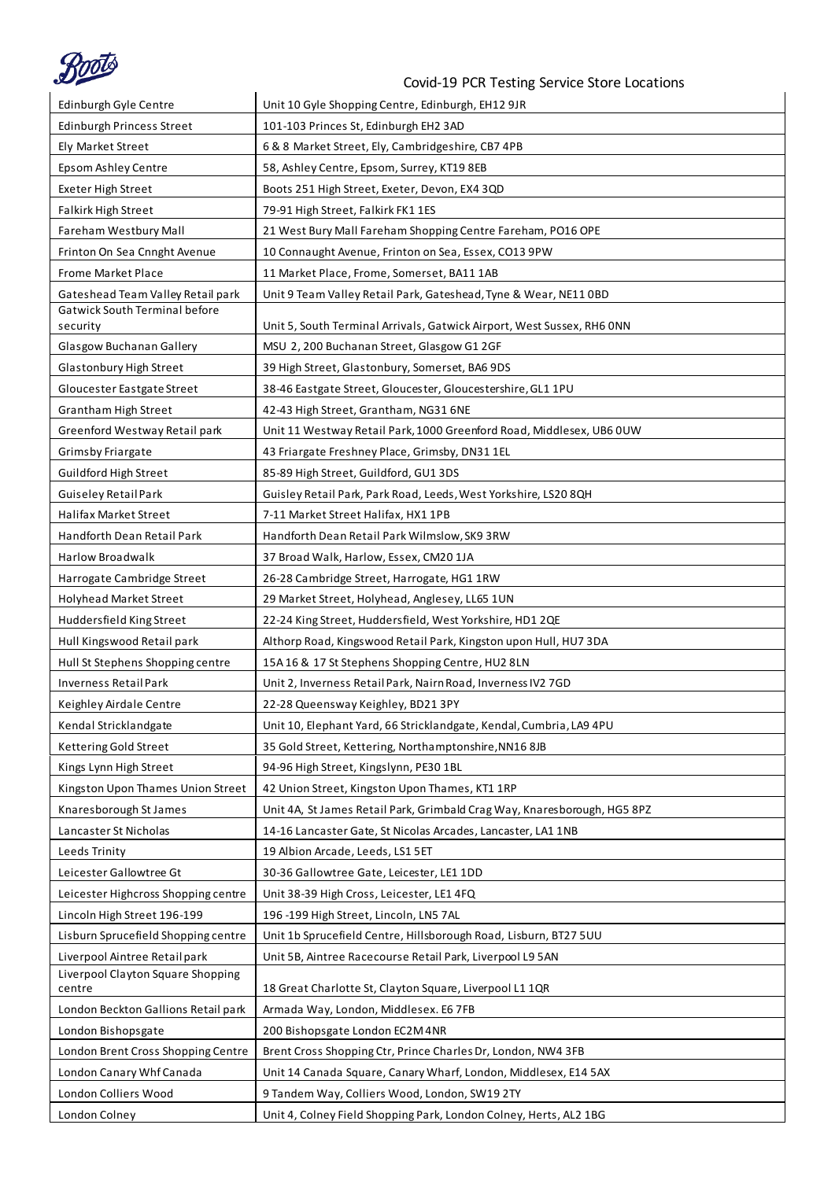

| Edinburgh Gyle Centre                       | Unit 10 Gyle Shopping Centre, Edinburgh, EH12 9JR                        |
|---------------------------------------------|--------------------------------------------------------------------------|
| <b>Edinburgh Princess Street</b>            | 101-103 Princes St, Edinburgh EH2 3AD                                    |
| Ely Market Street                           | 6 & 8 Market Street, Ely, Cambridgeshire, CB7 4PB                        |
| Epsom Ashley Centre                         | 58, Ashley Centre, Epsom, Surrey, KT19 8EB                               |
| Exeter High Street                          | Boots 251 High Street, Exeter, Devon, EX4 3QD                            |
| Falkirk High Street                         | 79-91 High Street, Falkirk FK1 1ES                                       |
| Fareham Westbury Mall                       | 21 West Bury Mall Fareham Shopping Centre Fareham, PO16 OPE              |
| Frinton On Sea Cnnght Avenue                | 10 Connaught Avenue, Frinton on Sea, Essex, CO13 9PW                     |
| <b>Frome Market Place</b>                   | 11 Market Place, Frome, Somerset, BA11 1AB                               |
| Gateshead Team Valley Retail park           | Unit 9 Team Valley Retail Park, Gateshead, Tyne & Wear, NE11 OBD         |
| Gatwick South Terminal before               |                                                                          |
| security                                    | Unit 5, South Terminal Arrivals, Gatwick Airport, West Sussex, RH6 ONN   |
| Glasgow Buchanan Gallery                    | MSU 2, 200 Buchanan Street, Glasgow G1 2GF                               |
| Glastonbury High Street                     | 39 High Street, Glastonbury, Somerset, BA6 9DS                           |
| Gloucester Eastgate Street                  | 38-46 Eastgate Street, Gloucester, Gloucestershire, GL1 1PU              |
| <b>Grantham High Street</b>                 | 42-43 High Street, Grantham, NG31 6NE                                    |
| Greenford Westway Retail park               | Unit 11 Westway Retail Park, 1000 Greenford Road, Middlesex, UB6 0UW     |
| <b>Grimsby Friargate</b>                    | 43 Friargate Freshney Place, Grimsby, DN31 1EL                           |
| Guildford High Street                       | 85-89 High Street, Guildford, GU1 3DS                                    |
| Guiseley Retail Park                        | Guisley Retail Park, Park Road, Leeds, West Yorkshire, LS20 8QH          |
| Halifax Market Street                       | 7-11 Market Street Halifax, HX1 1PB                                      |
| Handforth Dean Retail Park                  | Handforth Dean Retail Park Wilmslow, SK9 3RW                             |
| <b>Harlow Broadwalk</b>                     | 37 Broad Walk, Harlow, Essex, CM20 1JA                                   |
| Harrogate Cambridge Street                  | 26-28 Cambridge Street, Harrogate, HG1 1RW                               |
| Holyhead Market Street                      | 29 Market Street, Holyhead, Anglesey, LL65 1UN                           |
|                                             |                                                                          |
| Huddersfield King Street                    | 22-24 King Street, Huddersfield, West Yorkshire, HD1 2QE                 |
| Hull Kingswood Retail park                  | Althorp Road, Kingswood Retail Park, Kingston upon Hull, HU7 3DA         |
| Hull St Stephens Shopping centre            | 15A 16 & 17 St Stephens Shopping Centre, HU2 8LN                         |
| <b>Inverness Retail Park</b>                | Unit 2, Inverness Retail Park, Nairn Road, Inverness IV2 7GD             |
| Keighley Airdale Centre                     | 22-28 Queensway Keighley, BD21 3PY                                       |
| Kendal Stricklandgate                       | Unit 10, Elephant Yard, 66 Stricklandgate, Kendal, Cumbria, LA9 4PU      |
| Kettering Gold Street                       | 35 Gold Street, Kettering, Northamptonshire, NN16 8JB                    |
| Kings Lynn High Street                      | 94-96 High Street, Kingslynn, PE30 1BL                                   |
| Kingston Upon Thames Union Street           | 42 Union Street, Kingston Upon Thames, KT1 1RP                           |
| Knaresborough St James                      | Unit 4A, St James Retail Park, Grimbald Crag Way, Knaresborough, HG5 8PZ |
| Lancaster St Nicholas                       | 14-16 Lancaster Gate, St Nicolas Arcades, Lancaster, LA1 1NB             |
| Leeds Trinity                               | 19 Albion Arcade, Leeds, LS1 5ET                                         |
| Leicester Gallowtree Gt                     | 30-36 Gallowtree Gate, Leicester, LE1 1DD                                |
| Leicester Highcross Shopping centre         | Unit 38-39 High Cross, Leicester, LE1 4FQ                                |
| Lincoln High Street 196-199                 | 196 -199 High Street, Lincoln, LN5 7AL                                   |
| Lisburn Sprucefield Shopping centre         | Unit 1b Sprucefield Centre, Hillsborough Road, Lisburn, BT27 5UU         |
| Liverpool Aintree Retail park               | Unit 5B, Aintree Racecourse Retail Park, Liverpool L9 5AN                |
| Liverpool Clayton Square Shopping<br>centre | 18 Great Charlotte St, Clayton Square, Liverpool L1 1QR                  |
| London Beckton Gallions Retail park         | Armada Way, London, Middlesex. E6 7FB                                    |
| London Bishopsgate                          | 200 Bishopsgate London EC2M 4NR                                          |
| London Brent Cross Shopping Centre          | Brent Cross Shopping Ctr, Prince Charles Dr, London, NW4 3FB             |
| London Canary Whf Canada                    | Unit 14 Canada Square, Canary Wharf, London, Middlesex, E14 5AX          |
| London Colliers Wood                        | 9 Tandem Way, Colliers Wood, London, SW19 2TY                            |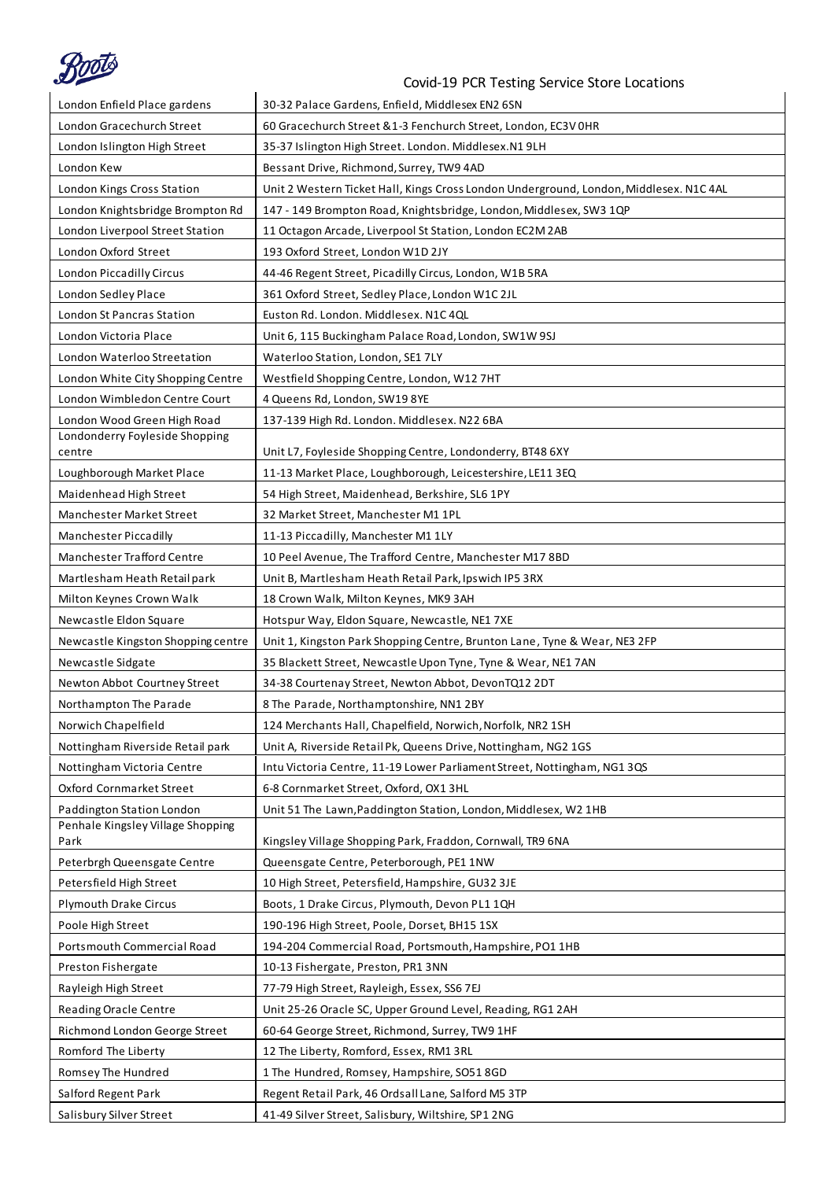

| $\sim$                             | Covid-19 PCR Testing Service Store Locations                                           |
|------------------------------------|----------------------------------------------------------------------------------------|
| London Enfield Place gardens       | 30-32 Palace Gardens, Enfield, Middlesex EN2 6SN                                       |
| London Gracechurch Street          | 60 Gracechurch Street & 1-3 Fenchurch Street, London, EC3V OHR                         |
| London Islington High Street       | 35-37 Islington High Street. London. Middlesex.N1 9LH                                  |
| London Kew                         | Bessant Drive, Richmond, Surrey, TW9 4AD                                               |
| London Kings Cross Station         | Unit 2 Western Ticket Hall, Kings Cross London Underground, London, Middlesex. N1C 4AL |
| London Knightsbridge Brompton Rd   | 147 - 149 Brompton Road, Knightsbridge, London, Middlesex, SW3 1QP                     |
| London Liverpool Street Station    | 11 Octagon Arcade, Liverpool St Station, London EC2M 2AB                               |
| London Oxford Street               | 193 Oxford Street, London W1D 2JY                                                      |
| London Piccadilly Circus           | 44-46 Regent Street, Picadilly Circus, London, W1B 5RA                                 |
| London Sedley Place                | 361 Oxford Street, Sedley Place, London W1C 2JL                                        |
| <b>London St Pancras Station</b>   | Euston Rd. London. Middlesex. N1C 4QL                                                  |
| London Victoria Place              | Unit 6, 115 Buckingham Palace Road, London, SW1W 9SJ                                   |
| London Waterloo Streetation        | Waterloo Station, London, SE1 7LY                                                      |
| London White City Shopping Centre  | Westfield Shopping Centre, London, W12 7HT                                             |
| London Wimbledon Centre Court      | 4 Queens Rd, London, SW19 8YE                                                          |
| London Wood Green High Road        | 137-139 High Rd. London. Middlesex. N22 6BA                                            |
| Londonderry Foyleside Shopping     |                                                                                        |
| centre                             | Unit L7, Foyleside Shopping Centre, Londonderry, BT48 6XY                              |
| Loughborough Market Place          | 11-13 Market Place, Loughborough, Leicestershire, LE11 3EQ                             |
| Maidenhead High Street             | 54 High Street, Maidenhead, Berkshire, SL6 1PY                                         |
| Manchester Market Street           | 32 Market Street, Manchester M1 1PL                                                    |
| Manchester Piccadilly              | 11-13 Piccadilly, Manchester M1 1LY                                                    |
| Manchester Trafford Centre         | 10 Peel Avenue, The Trafford Centre, Manchester M17 8BD                                |
| Martlesham Heath Retail park       | Unit B, Martlesham Heath Retail Park, Ipswich IP5 3RX                                  |
| Milton Keynes Crown Walk           | 18 Crown Walk, Milton Keynes, MK9 3AH                                                  |
| Newcastle Eldon Square             | Hotspur Way, Eldon Square, Newcastle, NE1 7XE                                          |
| Newcastle Kingston Shopping centre | Unit 1, Kingston Park Shopping Centre, Brunton Lane, Tyne & Wear, NE3 2FP              |
| Newcastle Sidgate                  | 35 Blackett Street, Newcastle Upon Tyne, Tyne & Wear, NE1 7AN                          |
| Newton Abbot Courtney Street       | 34-38 Courtenay Street, Newton Abbot, DevonTQ12 2DT                                    |
| Northampton The Parade             | 8 The Parade, Northamptonshire, NN1 2BY                                                |
| Norwich Chapelfield                | 124 Merchants Hall, Chapelfield, Norwich, Norfolk, NR2 1SH                             |
| Nottingham Riverside Retail park   | Unit A, Riverside Retail Pk, Queens Drive, Nottingham, NG2 1GS                         |
| Nottingham Victoria Centre         | Intu Victoria Centre, 11-19 Lower Parliament Street, Nottingham, NG1 3QS               |
| Oxford Cornmarket Street           | 6-8 Cornmarket Street, Oxford, OX1 3HL                                                 |
| Paddington Station London          | Unit 51 The Lawn, Paddington Station, London, Middlesex, W2 1HB                        |
| Penhale Kingsley Village Shopping  |                                                                                        |
| Park                               | Kingsley Village Shopping Park, Fraddon, Cornwall, TR9 6NA                             |
| Peterbrgh Queensgate Centre        | Queensgate Centre, Peterborough, PE1 1NW                                               |
| Petersfield High Street            | 10 High Street, Petersfield, Hampshire, GU32 3JE                                       |
| <b>Plymouth Drake Circus</b>       | Boots, 1 Drake Circus, Plymouth, Devon PL1 1QH                                         |
| Poole High Street                  | 190-196 High Street, Poole, Dorset, BH15 1SX                                           |
| Portsmouth Commercial Road         | 194-204 Commercial Road, Portsmouth, Hampshire, PO1 1HB                                |
| Preston Fishergate                 | 10-13 Fishergate, Preston, PR1 3NN                                                     |
| Rayleigh High Street               | 77-79 High Street, Rayleigh, Essex, SS6 7EJ                                            |
| Reading Oracle Centre              | Unit 25-26 Oracle SC, Upper Ground Level, Reading, RG1 2AH                             |
| Richmond London George Street      | 60-64 George Street, Richmond, Surrey, TW9 1HF                                         |
| Romford The Liberty                | 12 The Liberty, Romford, Essex, RM1 3RL                                                |
| Romsey The Hundred                 | 1 The Hundred, Romsey, Hampshire, SO51 8GD                                             |
| Salford Regent Park                | Regent Retail Park, 46 Ordsall Lane, Salford M5 3TP                                    |
| Salisbury Silver Street            | 41-49 Silver Street, Salisbury, Wiltshire, SP1 2NG                                     |